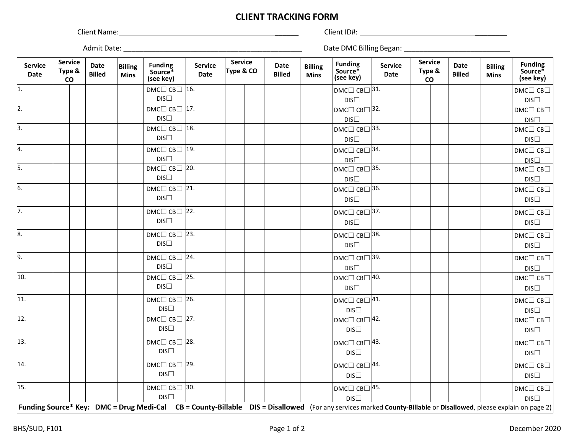## **CLIENT TRACKING FORM**

Client Name: \_\_\_\_\_\_ Client ID#: \_\_\_\_\_\_\_\_

Admit Date: \_\_\_\_\_\_\_\_\_\_\_\_\_\_\_\_\_\_\_\_\_\_\_\_\_\_\_\_\_\_\_\_\_\_\_\_\_\_\_\_\_\_\_\_\_ Date DMC Billing Began: \_\_\_\_\_\_\_\_\_\_\_\_\_\_\_\_\_\_\_\_\_\_\_\_\_\_\_

| <b>Service</b><br>Date | <b>Service</b><br>Type &<br>co | Date<br><b>Billed</b> | <b>Billing</b><br><b>Mins</b> | <b>Funding</b><br>Source*<br>(see key)                                                                                                                           | <b>Service</b><br><b>Date</b> | <b>Service</b><br>Type & CO | Date<br><b>Billed</b> | <b>Billing</b><br><b>Mins</b> | Funding<br>Source*<br>(see key) | <b>Service</b><br>Date | <b>Service</b><br>Type &<br>$\mathsf{co}\,$ | <b>Date</b><br><b>Billed</b> | <b>Billing</b><br><b>Mins</b> | <b>Funding</b><br>Source*<br>(see key)  |
|------------------------|--------------------------------|-----------------------|-------------------------------|------------------------------------------------------------------------------------------------------------------------------------------------------------------|-------------------------------|-----------------------------|-----------------------|-------------------------------|---------------------------------|------------------------|---------------------------------------------|------------------------------|-------------------------------|-----------------------------------------|
| 1.                     |                                |                       |                               | DMC $\Box$ CB $\Box$ 16.                                                                                                                                         |                               |                             |                       |                               | DMC $\Box$ CB $\Box$ 31.        |                        |                                             |                              |                               | $DMC \Box CB \Box$                      |
|                        |                                |                       |                               | $DIS\square$                                                                                                                                                     |                               |                             |                       |                               | $DIS\square$                    |                        |                                             |                              |                               | DIS                                     |
| $\overline{2}$ .       |                                |                       |                               | DMC $\Box$ CB $\Box$ 17.                                                                                                                                         |                               |                             |                       |                               | DMC□ CB□ 32.                    |                        |                                             |                              |                               | $DMC \Box CB \Box$                      |
|                        |                                |                       |                               | DIS                                                                                                                                                              |                               |                             |                       |                               | $DIS\square$                    |                        |                                             |                              |                               | $DIS\square$                            |
| $\overline{3}$ .       |                                |                       |                               | DMC $\Box$ CB $\Box$ 18.                                                                                                                                         |                               |                             |                       |                               | DMC $\Box$ CB $\Box$ 33.        |                        |                                             |                              |                               | $DMC \Box CB \Box$                      |
|                        |                                |                       |                               | $DIS\square$                                                                                                                                                     |                               |                             |                       |                               | $DIS\square$                    |                        |                                             |                              |                               | $DIS\square$                            |
| 4.                     |                                |                       |                               | DMC $\Box$ CB $\Box$ 19.                                                                                                                                         |                               |                             |                       |                               | DMC $\Box$ CB $\Box$ 34.        |                        |                                             |                              |                               | $DMC \Box CB \Box$                      |
|                        |                                |                       |                               | DIS                                                                                                                                                              |                               |                             |                       |                               | DIS                             |                        |                                             |                              |                               | DIS                                     |
| 5.                     |                                |                       |                               | $DMC \Box CB \Box$ 20.                                                                                                                                           |                               |                             |                       |                               | DMC $\Box$ CB $\Box$ 35.        |                        |                                             |                              |                               | $DMC \Box CB \Box$                      |
|                        |                                |                       |                               | DIS                                                                                                                                                              |                               |                             |                       |                               | $DIS\square$                    |                        |                                             |                              |                               | DIS                                     |
| $\overline{6}$ .       |                                |                       |                               | DMC $\Box$ CB $\Box$ 21.                                                                                                                                         |                               |                             |                       |                               | DMC $\Box$ CB $\Box$ 36.        |                        |                                             |                              |                               | $DMC \Box CB \Box$                      |
|                        |                                |                       |                               | $DIS\square$                                                                                                                                                     |                               |                             |                       |                               | $DIS\square$                    |                        |                                             |                              |                               | $DIS\square$                            |
| 7.                     |                                |                       |                               | $DMC \Box CB \Box 22.$                                                                                                                                           |                               |                             |                       |                               | DMC $\Box$ CB $\Box$ 37.        |                        |                                             |                              |                               | $DMC \Box CB \Box$                      |
|                        |                                |                       |                               | $DIS\square$                                                                                                                                                     |                               |                             |                       |                               | $DIS\square$                    |                        |                                             |                              |                               | $DIS\square$                            |
| 8.                     |                                |                       |                               | DMC $\Box$ CB $\Box$ 23.                                                                                                                                         |                               |                             |                       |                               | DMC $\Box$ CB $\Box$ 38.        |                        |                                             |                              |                               | $DMC \Box CB \Box$                      |
|                        |                                |                       |                               | $DIS\square$                                                                                                                                                     |                               |                             |                       |                               | $DIS\square$                    |                        |                                             |                              |                               | DIS                                     |
| 9.                     |                                |                       |                               | DMC $\Box$ CB $\Box$ 24.                                                                                                                                         |                               |                             |                       |                               | DMC□ CB□ 39.                    |                        |                                             |                              |                               | $\mathsf{DMC}\square\mathsf{CB}\square$ |
|                        |                                |                       |                               | DIS                                                                                                                                                              |                               |                             |                       |                               | $DIS\square$                    |                        |                                             |                              |                               | $DIS\square$                            |
| 10.                    |                                |                       |                               | $DMC \Box CB \Box$ 25.                                                                                                                                           |                               |                             |                       |                               | DMC $\Box$ CB $\Box$ 40.        |                        |                                             |                              |                               | $DMC \Box CB \Box$                      |
|                        |                                |                       |                               | $DIS\square$                                                                                                                                                     |                               |                             |                       |                               | DIS                             |                        |                                             |                              |                               | $DIS\square$                            |
| $\overline{11}$ .      |                                |                       |                               | DMC $\Box$ CB $\Box$ 26.                                                                                                                                         |                               |                             |                       |                               | DMC $\Box$ CB $\Box$ 41.        |                        |                                             |                              |                               | $DMC \Box CB \Box$                      |
|                        |                                |                       |                               | $DIS\square$                                                                                                                                                     |                               |                             |                       |                               | $DIS\square$                    |                        |                                             |                              |                               | $DIS\square$                            |
| $\overline{12}$ .      |                                |                       |                               | DMC $\Box$ CB $\Box$ 27.                                                                                                                                         |                               |                             |                       |                               | DMC $\Box$ CB $\Box$ 42.        |                        |                                             |                              |                               | $\mathsf{DMC}\square\mathsf{CB}\square$ |
|                        |                                |                       |                               | $DIS\square$                                                                                                                                                     |                               |                             |                       |                               | $DIS\square$                    |                        |                                             |                              |                               | $DIS\square$                            |
| $\overline{13}$ .      |                                |                       |                               | DMC $\Box$ CB $\Box$ 28.                                                                                                                                         |                               |                             |                       |                               | DMC $\Box$ CB $\Box$ 43.        |                        |                                             |                              |                               | $DMC \Box CB \Box$                      |
|                        |                                |                       |                               | $DIS\square$                                                                                                                                                     |                               |                             |                       |                               | $DIS\square$                    |                        |                                             |                              |                               | $DIS\square$                            |
| 14.                    |                                |                       |                               | $DMC \Box CB \Box$ 29.                                                                                                                                           |                               |                             |                       |                               | DMC $\Box$ CB $\Box$ 44.        |                        |                                             |                              |                               | $DMC \Box CB \Box$                      |
|                        |                                |                       |                               | $DIS\square$                                                                                                                                                     |                               |                             |                       |                               | $DIS\square$                    |                        |                                             |                              |                               | $DIS\square$                            |
| $\overline{15}$ .      |                                |                       |                               | DMC $\Box$ CB $\Box$ 30.                                                                                                                                         |                               |                             |                       |                               | DMC□ CB□ 45.                    |                        |                                             |                              |                               | $\mathsf{DMC}\square\mathsf{CB}\square$ |
|                        |                                |                       |                               | DIS                                                                                                                                                              |                               |                             |                       |                               | DISC                            |                        |                                             |                              |                               | DIS                                     |
|                        |                                |                       |                               | Funding Source* Key: DMC = Drug Medi-Cal CB = County-Billable DIS = Disallowed (For any services marked County-Billable or Disallowed, please explain on page 2) |                               |                             |                       |                               |                                 |                        |                                             |                              |                               |                                         |